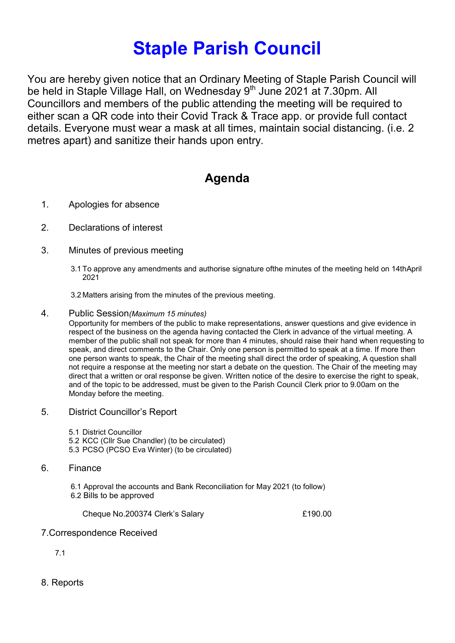# Staple Parish Council

You are hereby given notice that an Ordinary Meeting of Staple Parish Council will be held in Staple Village Hall, on Wednesday 9<sup>th</sup> June 2021 at 7.30pm. All Councillors and members of the public attending the meeting will be required to either scan a QR code into their Covid Track & Trace app. or provide full contact details. Everyone must wear a mask at all times, maintain social distancing. (i.e. 2 metres apart) and sanitize their hands upon entry.

# Agenda

- 1. Apologies for absence
- 2. Declarations of interest
- 3. Minutes of previous meeting
	- 3.1 To approve any amendments and authorise signature ofthe minutes of the meeting held on 14thApril 2021

3.2 Matters arising from the minutes of the previous meeting.

4. Public Session(Maximum 15 minutes)

Opportunity for members of the public to make representations, answer questions and give evidence in respect of the business on the agenda having contacted the Clerk in advance of the virtual meeting. A member of the public shall not speak for more than 4 minutes, should raise their hand when requesting to speak, and direct comments to the Chair. Only one person is permitted to speak at a time. If more then one person wants to speak, the Chair of the meeting shall direct the order of speaking, A question shall not require a response at the meeting nor start a debate on the question. The Chair of the meeting may direct that a written or oral response be given. Written notice of the desire to exercise the right to speak, and of the topic to be addressed, must be given to the Parish Council Clerk prior to 9.00am on the Monday before the meeting.

- 5. District Councillor's Report
	- 5.1 District Councillor
	- 5.2 KCC (Cllr Sue Chandler) (to be circulated)
	- 5.3 PCSO (PCSO Eva Winter) (to be circulated)
- 6. Finance
	- 6.1 Approval the accounts and Bank Reconciliation for May 2021 (to follow) 6.2 Bills to be approved

Cheque No.200374 Clerk's Salary **E190.00** 

# 7.Correspondence Received

- 7.1
- 8. Reports